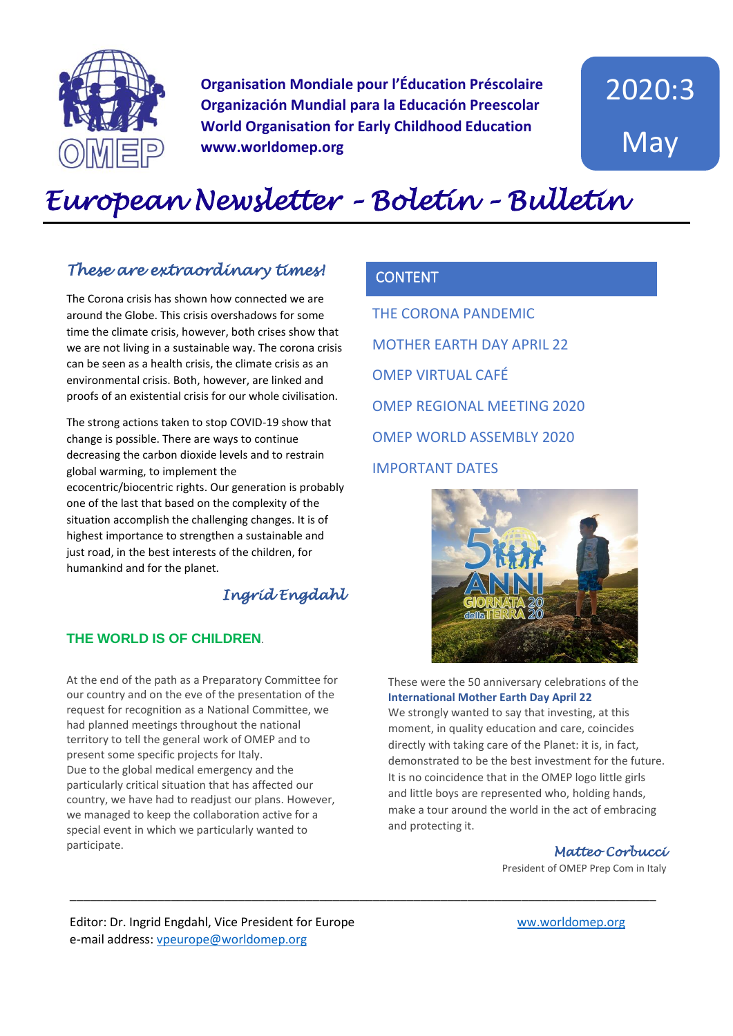

**Organisation Mondiale pour l'Éducation Préscolaire Organización Mundial para la Educación Preescolar World Organisation for Early Childhood Education www.worldomep.org**

2020:3 May

# *European Newsletter – Boletín – Bulletin*

## *These are extraordinary times!*

The Corona crisis has shown how connected we are around the Globe. This crisis overshadows for some time the climate crisis, however, both crises show that we are not living in a sustainable way. The corona crisis can be seen as a health crisis, the climate crisis as an environmental crisis. Both, however, are linked and proofs of an existential crisis for our whole civilisation.

The strong actions taken to stop COVID-19 show that change is possible. There are ways to continue decreasing the carbon dioxide levels and to restrain global warming, to implement the

ecocentric/biocentric rights. Our generation is probably one of the last that based on the complexity of the situation accomplish the challenging changes. It is of highest importance to strengthen a sustainable and just road, in the best interests of the children, for humankind and for the planet.

## *Ingrid Engdahl*

\_\_\_\_\_\_\_\_\_\_\_\_\_\_\_\_\_\_\_\_\_\_\_\_\_\_\_\_\_\_\_\_\_\_\_\_\_\_\_\_\_\_\_\_\_\_\_\_\_\_\_\_\_\_\_\_\_\_\_\_\_\_\_\_\_\_\_\_\_\_\_\_\_\_\_\_\_\_\_\_\_\_\_\_\_\_\_

#### **THE WORLD IS OF CHILDREN**.

At the end of the path as a Preparatory Committee for our country and on the eve of the presentation of the request for recognition as a National Committee, we had planned meetings throughout the national territory to tell the general work of OMEP and to present some specific projects for Italy. Due to the global medical emergency and the particularly critical situation that has affected our country, we have had to readjust our plans. However, we managed to keep the collaboration active for a special event in which we particularly wanted to participate.

## **CONTENT**

THE CORONA PANDEMIC MOTHER EARTH DAY APRIL 22 OMEP VIRTUAL CAFÉ OMEP REGIONAL MEETING 2020 OMEP WORLD ASSEMBLY 2020 IMPORTANT DATES



#### These were the 50 anniversary celebrations of the **International Mother Earth Day April 22**

We strongly wanted to say that investing, at this moment, in quality education and care, coincides directly with taking care of the Planet: it is, in fact, demonstrated to be the best investment for the future. It is no coincidence that in the OMEP logo little girls and little boys are represented who, holding hands, make a tour around the world in the act of embracing and protecting it.

#### *Matteo Corbucci*

President of OMEP Prep Com in Italy

Editor: Dr. Ingrid Engdahl, Vice President for Europe [ww.worldomep.org](http://www.worldomep.org/)  e-mail address: [vpeurope@worldomep.org](mailto:vpeurope@worldomep.org)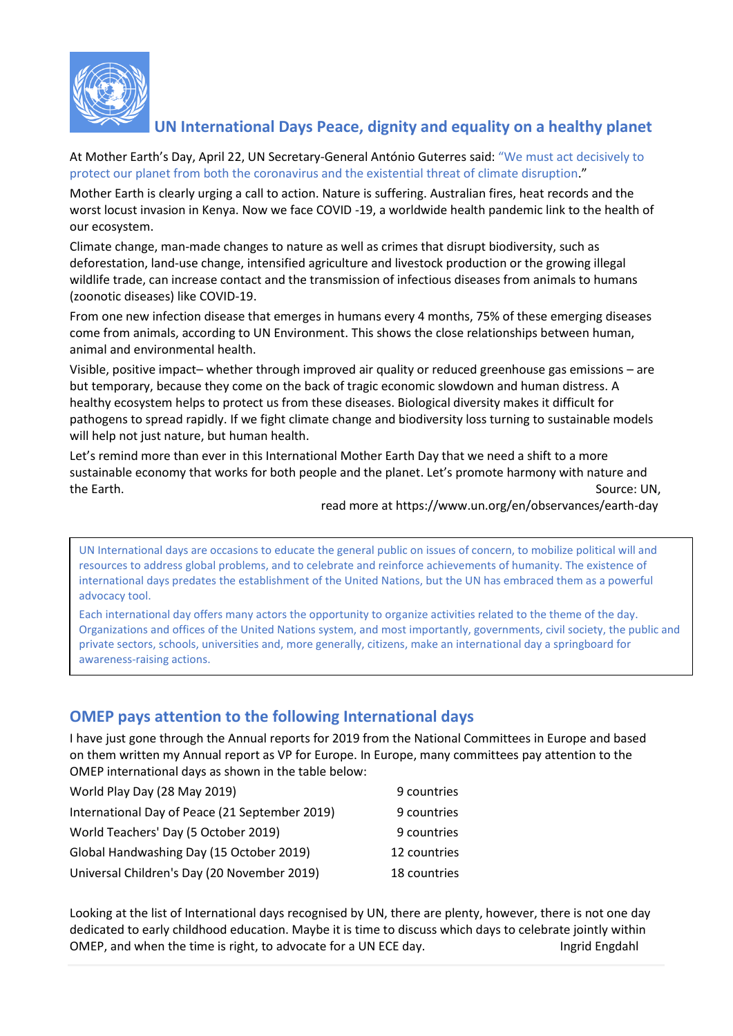

## **UN International Days Peace, dignity and equality on a healthy planet**

At Mother Earth's Day, April 22, UN Secretary-General António Guterres said: "We must act decisively to protect our planet from both the coronavirus and the existential threat of climate disruption."

Mother Earth is clearly urging a call to action. Nature is suffering. Australian fires, heat records and the worst locust invasion in Kenya. Now we face COVID -19, a worldwide health pandemic link to the health of our ecosystem.

Climate change, man-made changes to nature as well as crimes that disrupt biodiversity, such as deforestation, land-use change, intensified agriculture and livestock production or the growing illegal wildlife trade, can increase contact and the transmission of infectious diseases from animals to humans (zoonotic diseases) like COVID-19.

From one new infection disease that emerges in humans every 4 months, 75% of these emerging diseases come from animals, according to UN Environment. This shows the close relationships between human, animal and environmental health.

Visible, positive impact– whether through improved air quality or reduced greenhouse gas emissions – are but temporary, because they come on the back of tragic economic slowdown and human distress. A healthy ecosystem helps to protect us from these diseases. Biological diversity makes it difficult for pathogens to spread rapidly. If we fight climate change and biodiversity loss turning to sustainable models will help not just nature, but human health.

Let's remind more than ever in this International Mother Earth Day that we need a shift to a more sustainable economy that works for both people and the planet. Let's promote harmony with nature and the Earth. Source: UN,

read more at https://www.un.org/en/observances/earth-day

UN International days are occasions to educate the general public on issues of concern, to mobilize political will and resources to address global problems, and to celebrate and reinforce achievements of humanity. The existence of international days predates the establishment of the United Nations, but the UN has embraced them as a powerful advocacy tool.

Each international day offers many actors the opportunity to organize activities related to the theme of the day. Organizations and offices of the United Nations system, and most importantly, governments, civil society, the public and private sectors, schools, universities and, more generally, citizens, make an international day a springboard for awareness-raising actions.

## **OMEP pays attention to the following International days**

I have just gone through the Annual reports for 2019 from the National Committees in Europe and based on them written my Annual report as VP for Europe. In Europe, many committees pay attention to the OMEP international days as shown in the table below:

| World Play Day (28 May 2019)                   | 9 countries  |
|------------------------------------------------|--------------|
| International Day of Peace (21 September 2019) | 9 countries  |
| World Teachers' Day (5 October 2019)           | 9 countries  |
| Global Handwashing Day (15 October 2019)       | 12 countries |
| Universal Children's Day (20 November 2019)    | 18 countries |

Looking at the list of International days recognised by UN, there are plenty, however, there is not one day dedicated to early childhood education. Maybe it is time to discuss which days to celebrate jointly within OMEP, and when the time is right, to advocate for a UN ECE day. Income in the state of the languable englands of the language of the language of the language of the language of the language of the language of the language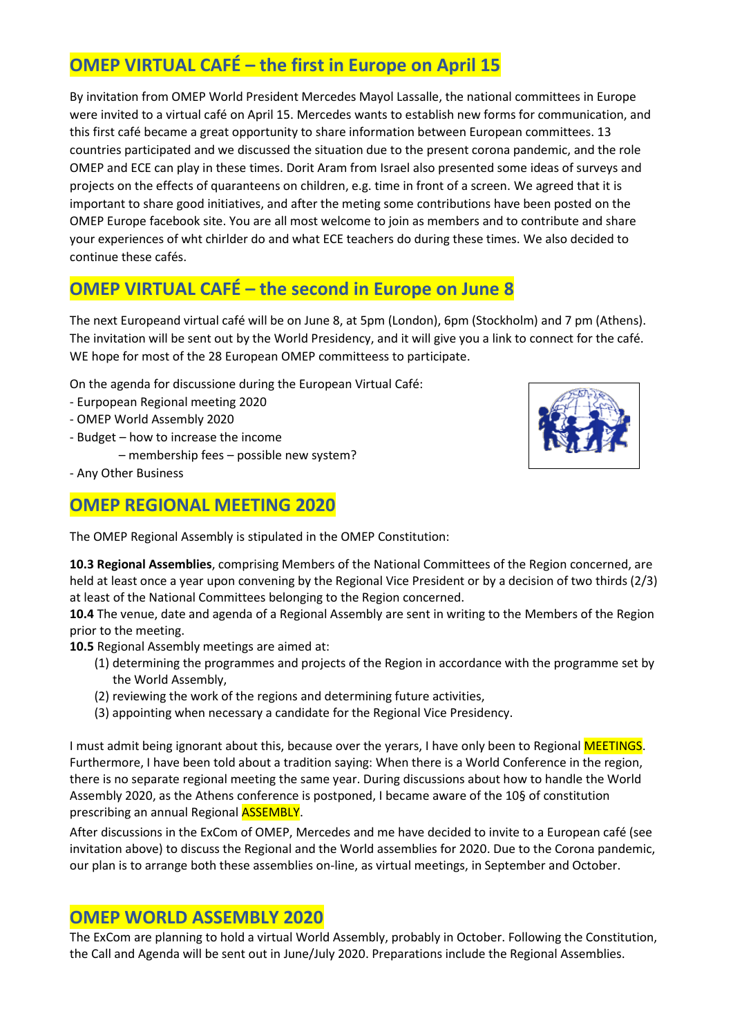## **OMEP VIRTUAL CAFÉ – the first in Europe on April 15**

By invitation from OMEP World President Mercedes Mayol Lassalle, the national committees in Europe were invited to a virtual café on April 15. Mercedes wants to establish new forms for communication, and this first café became a great opportunity to share information between European committees. 13 countries participated and we discussed the situation due to the present corona pandemic, and the role OMEP and ECE can play in these times. Dorit Aram from Israel also presented some ideas of surveys and projects on the effects of quaranteens on children, e.g. time in front of a screen. We agreed that it is important to share good initiatives, and after the meting some contributions have been posted on the OMEP Europe facebook site. You are all most welcome to join as members and to contribute and share your experiences of wht chirlder do and what ECE teachers do during these times. We also decided to continue these cafés.

## **OMEP VIRTUAL CAFÉ – the second in Europe on June 8**

The next Europeand virtual café will be on June 8, at 5pm (London), 6pm (Stockholm) and 7 pm (Athens). The invitation will be sent out by the World Presidency, and it will give you a link to connect for the café. WE hope for most of the 28 European OMEP committeess to participate.

On the agenda for discussione during the European Virtual Café:

- Eurpopean Regional meeting 2020
- OMEP World Assembly 2020
- Budget how to increase the income
	- membership fees possible new system?
- Any Other Business

#### **OMEP REGIONAL MEETING 2020**

The OMEP Regional Assembly is stipulated in the OMEP Constitution:

**10.3 Regional Assemblies**, comprising Members of the National Committees of the Region concerned, are held at least once a year upon convening by the Regional Vice President or by a decision of two thirds (2/3) at least of the National Committees belonging to the Region concerned.

**10.4** The venue, date and agenda of a Regional Assembly are sent in writing to the Members of the Region prior to the meeting.

**10.5** Regional Assembly meetings are aimed at:

- (1) determining the programmes and projects of the Region in accordance with the programme set by the World Assembly,
- (2) reviewing the work of the regions and determining future activities,
- (3) appointing when necessary a candidate for the Regional Vice Presidency.

I must admit being ignorant about this, because over the yerars, I have only been to Regional MEETINGS. Furthermore, I have been told about a tradition saying: When there is a World Conference in the region, there is no separate regional meeting the same year. During discussions about how to handle the World Assembly 2020, as the Athens conference is postponed, I became aware of the 10§ of constitution prescribing an annual Regional ASSEMBLY.

After discussions in the ExCom of OMEP, Mercedes and me have decided to invite to a European café (see invitation above) to discuss the Regional and the World assemblies for 2020. Due to the Corona pandemic, our plan is to arrange both these assemblies on-line, as virtual meetings, in September and October.

#### **OMEP WORLD ASSEMBLY 2020**

The ExCom are planning to hold a virtual World Assembly, probably in October. Following the Constitution, the Call and Agenda will be sent out in June/July 2020. Preparations include the Regional Assemblies.